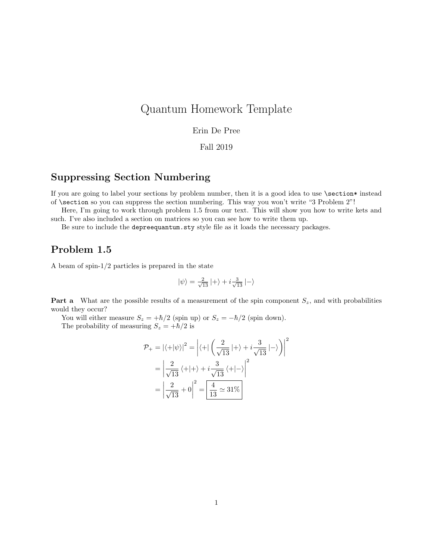# Quantum Homework Template

#### Erin De Pree

#### Fall 2019

### Suppressing Section Numbering

If you are going to label your sections by problem number, then it is a good idea to use \section\* instead of \section so you can suppress the section numbering. This way you won't write "3 Problem 2"!

Here, I'm going to work through problem 1.5 from our text. This will show you how to write kets and such. I've also included a section on matrices so you can see how to write them up.

Be sure to include the depreequantum.sty style file as it loads the necessary packages.

### Problem 1.5

A beam of spin-1/2 particles is prepared in the state

$$
\left|\psi\right\rangle =\frac{2}{\sqrt{13}}\left|+\right\rangle +i\frac{3}{\sqrt{13}}\left|-\right\rangle
$$

**Part a** What are the possible results of a measurement of the spin component  $S_z$ , and with probabilities would they occur?

You will either measure  $S_z = +\hbar/2$  (spin up) or  $S_z = -\hbar/2$  (spin down).

The probability of measuring  $S_z = +\hbar/2$  is

$$
\mathcal{P}_{+} = |\langle +|\psi\rangle|^{2} = \left|\langle +|\left(\frac{2}{\sqrt{13}}|+\rangle + i\frac{3}{\sqrt{13}}|-\rangle\right)\right|^{2}
$$

$$
= \left|\frac{2}{\sqrt{13}}\langle +|+\rangle + i\frac{3}{\sqrt{13}}\langle +|-\rangle\right|^{2}
$$

$$
= \left|\frac{2}{\sqrt{13}} + 0\right|^{2} = \left|\frac{4}{13} \approx 31\%
$$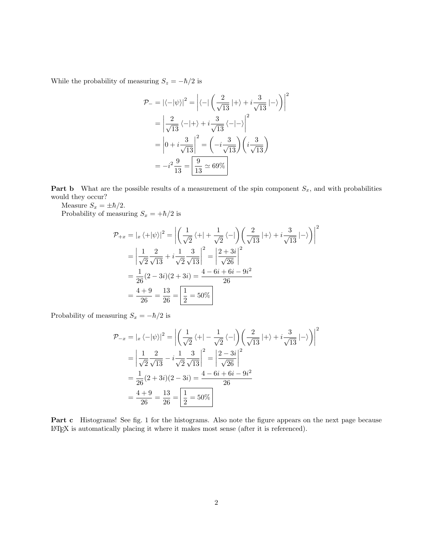While the probability of measuring  $S_z = -\hbar/2$  is

$$
\mathcal{P}_{-} = \left| \langle -|\psi \rangle \right|^2 = \left| \langle -|\left(\frac{2}{\sqrt{13}}|+\rangle + i\frac{3}{\sqrt{13}}|-\rangle \right) \right|^2
$$

$$
= \left| \frac{2}{\sqrt{13}} \langle -|+\rangle + i\frac{3}{\sqrt{13}} \langle -|-\rangle \right|^2
$$

$$
= \left| 0 + i\frac{3}{\sqrt{13}} \right|^2 = \left( -i\frac{3}{\sqrt{13}} \right) \left( i\frac{3}{\sqrt{13}} \right)
$$

$$
= -i^2 \frac{9}{13} = \boxed{\frac{9}{13} \approx 69\%}
$$

**Part b** What are the possible results of a measurement of the spin component  $S_x$ , and with probabilities would they occur?

Measure  $S_x = \pm \hbar/2$ .

Probability of measuring  $S_x = +\hbar/2$  is

$$
\mathcal{P}_{+x} = |x \langle +|\psi \rangle|^2 = \left| \left( \frac{1}{\sqrt{2}} \langle +| + \frac{1}{\sqrt{2}} \langle -| \right) \left( \frac{2}{\sqrt{13}} | + \rangle + i \frac{3}{\sqrt{13}} | - \rangle \right) \right|^2
$$
  
=  $\left| \frac{1}{\sqrt{2}} \frac{2}{\sqrt{13}} + i \frac{1}{\sqrt{2}} \frac{3}{\sqrt{13}} \right|^2 = \left| \frac{2+3i}{\sqrt{26}} \right|^2$   
=  $\frac{1}{26} (2-3i)(2+3i) = \frac{4-6i+6i-9i^2}{26}$   
=  $\frac{4+9}{26} = \frac{13}{26} = \boxed{\frac{1}{2} = 50\%}$ 

Probability of measuring  $S_x = -\hbar/2$  is

$$
\mathcal{P}_{-x} = |x \langle -|\psi \rangle|^2 = \left| \left( \frac{1}{\sqrt{2}} \langle +| -\frac{1}{\sqrt{2}} \langle -| \right) \left( \frac{2}{\sqrt{13}} |+ \rangle + i \frac{3}{\sqrt{13}} |- \rangle \right) \right|^2
$$
  
=  $\left| \frac{1}{\sqrt{2}} \frac{2}{\sqrt{13}} - i \frac{1}{\sqrt{2}} \frac{3}{\sqrt{13}} \right|^2 = \left| \frac{2-3i}{\sqrt{26}} \right|^2$   
=  $\frac{1}{26} (2+3i)(2-3i) = \frac{4-6i+6i-9i^2}{26}$   
=  $\frac{4+9}{26} = \frac{13}{26} = \boxed{\frac{1}{2}} = 50\%$ 

Part c Histograms! See fig. [1](#page-2-0) for the histograms. Also note the figure appears on the next page because LATEX is automatically placing it where it makes most sense (after it is referenced).